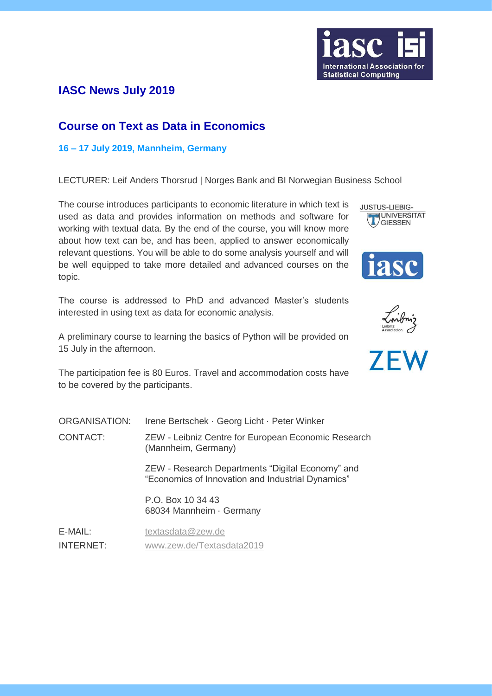

## **IASC News July 2019**

### **Course on Text as Data in Economics**

### **16 – 17 July 2019, Mannheim, Germany**

LECTURER: Leif Anders Thorsrud | Norges Bank and BI Norwegian Business School

The course introduces participants to economic literature in which text is used as data and provides information on methods and software for working with textual data. By the end of the course, you will know more about how text can be, and has been, applied to answer economically relevant questions. You will be able to do some analysis yourself and will be well equipped to take more detailed and advanced courses on the topic.

The course is addressed to PhD and advanced Master's students interested in using text as data for economic analysis.

A preliminary course to learning the basics of Python will be provided on 15 July in the afternoon.

The participation fee is 80 Euros. Travel and accommodation costs have to be covered by the participants.

| <b>ORGANISATION:</b> | Irene Bertschek · Georg Licht · Peter Winker                                                          |
|----------------------|-------------------------------------------------------------------------------------------------------|
| <b>CONTACT:</b>      | ZEW - Leibniz Centre for European Economic Research<br>(Mannheim, Germany)                            |
|                      | ZEW - Research Departments "Digital Economy" and<br>"Economics of Innovation and Industrial Dynamics" |
|                      | P.O. Box 10 34 43<br>68034 Mannheim · Germany                                                         |
| E-MAIL:              | textasdata@zew.de                                                                                     |

INTERNET: [www.zew.de/Textasdata2019](https://www.zew.de/en/veranstaltungen-und-weiterbildung/detail/course-on-text-as-data-in-economics/2853/?no_cache=1)







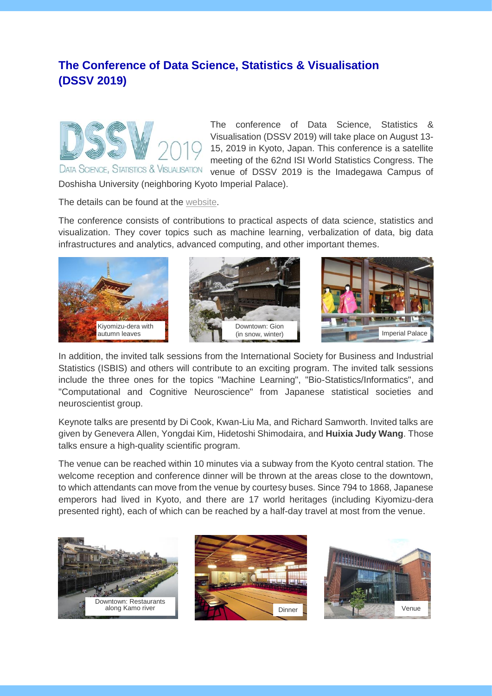# **The Conference of Data Science, Statistics & Visualisation (DSSV 2019)**



The conference of Data Science, Statistics & Visualisation (DSSV 2019) will take place on August 13- 15, 2019 in Kyoto, Japan. This conference is a satellite meeting of the 62nd ISI World Statistics Congress. The venue of DSSV 2019 is the Imadegawa Campus of

Doshisha University (neighboring Kyoto Imperial Palace).

The details can be found at the [website.](http://iasc-isi.org/dssv2019/)

The conference consists of contributions to practical aspects of data science, statistics and visualization. They cover topics such as machine learning, verbalization of data, big data infrastructures and analytics, advanced computing, and other important themes.



In addition, the invited talk sessions from the International Society for Business and Industrial Statistics (ISBIS) and others will contribute to an exciting program. The invited talk sessions include the three ones for the topics "Machine Learning", "Bio-Statistics/Informatics", and "Computational and Cognitive Neuroscience" from Japanese statistical societies and neuroscientist group.

Keynote talks are presentd by Di Cook, Kwan-Liu Ma, and Richard Samworth. Invited talks are given by Genevera Allen, Yongdai Kim, Hidetoshi Shimodaira, and **Huixia Judy Wang**. Those talks ensure a high-quality scientific program.

The venue can be reached within 10 minutes via a subway from the Kyoto central station. The welcome reception and conference dinner will be thrown at the areas close to the downtown, to which attendants can move from the venue by courtesy buses. Since 794 to 1868, Japanese emperors had lived in Kyoto, and there are 17 world heritages (including Kiyomizu-dera presented right), each of which can be reached by a half-day travel at most from the venue.





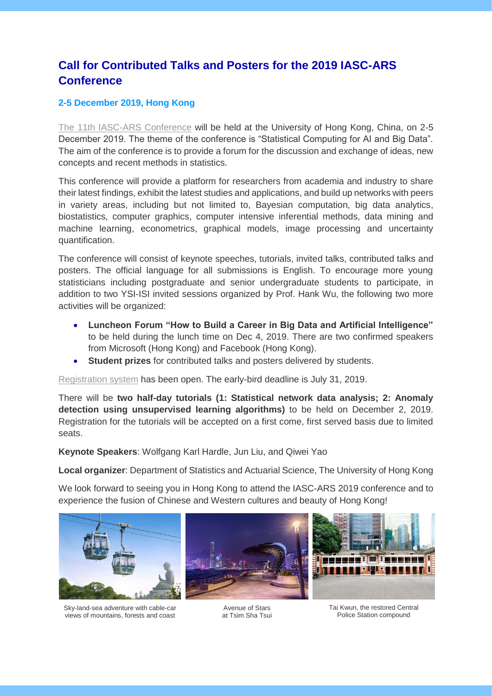# **Call for Contributed Talks and Posters for the 2019 IASC-ARS Conference**

### **2-5 December 2019, Hong Kong**

[The 11th IASC-ARS Conference](https://saasweb.hku.hk/conference/iasc-ars2019/) will be held at the University of Hong Kong, China, on 2-5 December 2019. The theme of the conference is "Statistical Computing for AI and Big Data". The aim of the conference is to provide a forum for the discussion and exchange of ideas, new concepts and recent methods in statistics.

This conference will provide a platform for researchers from academia and industry to share their latest findings, exhibit the latest studies and applications, and build up networks with peers in variety areas, including but not limited to, Bayesian computation, big data analytics, biostatistics, computer graphics, computer intensive inferential methods, data mining and machine learning, econometrics, graphical models, image processing and uncertainty quantification.

The conference will consist of keynote speeches, tutorials, invited talks, contributed talks and posters. The official language for all submissions is English. To encourage more young statisticians including postgraduate and senior undergraduate students to participate, in addition to two YSI-ISI invited sessions organized by Prof. Hank Wu, the following two more activities will be organized:

- **Luncheon Forum "How to Build a Career in Big Data and Artificial Intelligence"** to be held during the lunch time on Dec 4, 2019. There are two confirmed speakers from Microsoft (Hong Kong) and Facebook (Hong Kong).
- **Student prizes** for contributed talks and posters delivered by students.

[Registration system](https://saasweb.hku.hk/conference/iasc-ars2019/registration.php) has been open. The early-bird deadline is July 31, 2019.

There will be **two half-day tutorials (1: Statistical network data analysis; 2: Anomaly detection using unsupervised learning algorithms)** to be held on December 2, 2019. Registration for the tutorials will be accepted on a first come, first served basis due to limited seats.

**Keynote Speakers**: Wolfgang Karl Hardle, Jun Liu, and Qiwei Yao

**Local organizer**: Department of Statistics and Actuarial Science, The University of Hong Kong

We look forward to seeing you in Hong Kong to attend the IASC-ARS 2019 conference and to experience the fusion of Chinese and Western cultures and beauty of Hong Kong!



Sky-land-sea adventure with cable-car views of mountains, forests and coast



Avenue of Stars at Tsim Sha Tsui



Tai Kwun, the restored Central Police Station compound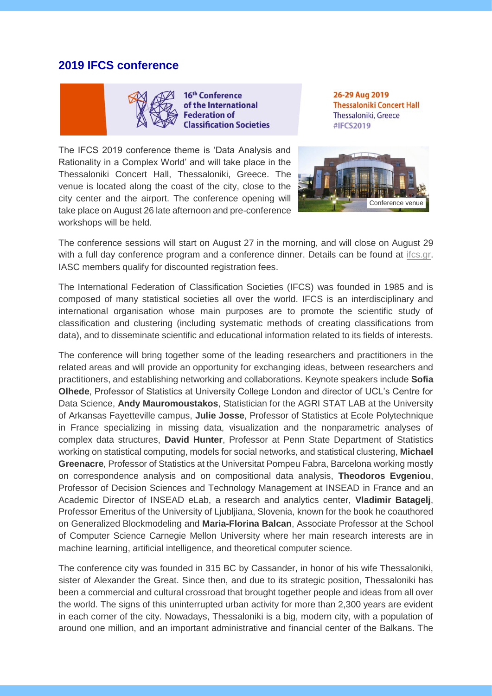### **2019 IFCS conference**



16<sup>th</sup> Conference of the International ederation of **Classification Societies** 

26-29 Aug 2019 **Thessaloniki Concert Hall** Thessaloniki, Greece #IFCS2019

The IFCS 2019 conference theme is 'Data Analysis and Rationality in a Complex World' and will take place in the Thessaloniki Concert Hall, Thessaloniki, Greece. The venue is located along the coast of the city, close to the city center and the airport. The conference opening will take place on August 26 late afternoon and pre-conference workshops will be held.



The conference sessions will start on August 27 in the morning, and will close on August 29 with a full day conference program and a conference dinner. Details can be found at [ifcs.gr.](https://ifcs.gr/) IASC members qualify for discounted registration fees.

The International Federation of Classification Societies (IFCS) was founded in 1985 and is composed of many statistical societies all over the world. IFCS is an interdisciplinary and international organisation whose main purposes are to promote the scientific study of classification and clustering (including systematic methods of creating classifications from data), and to disseminate scientific and educational information related to its fields of interests.

The conference will bring together some of the leading researchers and practitioners in the related areas and will provide an opportunity for exchanging ideas, between researchers and practitioners, and establishing networking and collaborations. Keynote speakers include **Sofia Olhede**, Professor of Statistics at University College London and director of UCL's Centre for Data Science, **Andy Mauromoustakos**, Statistician for the AGRI STAT LAB at the University of Arkansas Fayetteville campus, **Julie Josse**, Professor of Statistics at Ecole Polytechnique in France specializing in missing data, visualization and the nonparametric analyses of complex data structures, **David Hunter**, Professor at Penn State Department of Statistics working on statistical computing, models for social networks, and statistical clustering, **Michael Greenacre**, Professor of Statistics at the Universitat Pompeu Fabra, Barcelona working mostly on correspondence analysis and on compositional data analysis, **Theodoros Evgeniou**, Professor of Decision Sciences and Technology Management at INSEAD in France and an Academic Director of INSEAD eLab, a research and analytics center, **Vladimir Batagelj**, Professor Emeritus of the University of Ljubljiana, Slovenia, known for the book he coauthored on Generalized Blockmodeling and **Maria-Florina Balcan**, Associate Professor at the School of Computer Science Carnegie Mellon University where her main research interests are in machine learning, artificial intelligence, and theoretical computer science.

The conference city was founded in 315 BC by Cassander, in honor of his wife Thessaloniki, sister of Alexander the Great. Since then, and due to its strategic position, Thessaloniki has been a commercial and cultural crossroad that brought together people and ideas from all over the world. The signs of this uninterrupted urban activity for more than 2,300 years are evident in each corner of the city. Nowadays, Thessaloniki is a big, modern city, with a population of around one million, and an important administrative and financial center of the Balkans. The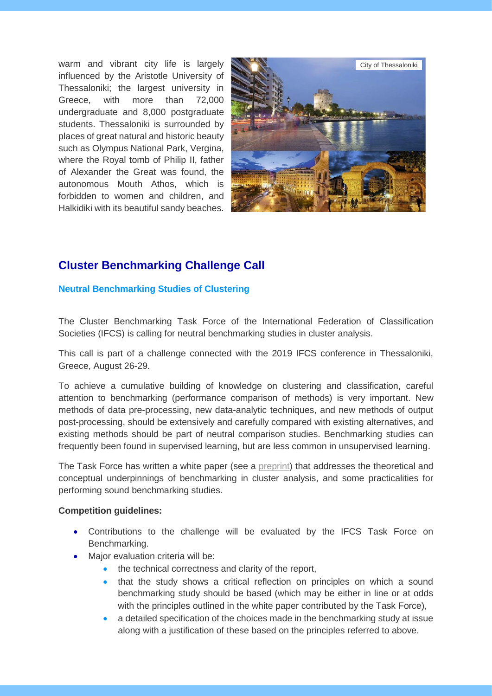warm and vibrant city life is largely influenced by the Aristotle University of Thessaloniki; the largest university in Greece, with more than 72,000 undergraduate and 8,000 postgraduate students. Thessaloniki is surrounded by places of great natural and historic beauty such as Olympus National Park, Vergina, where the Royal tomb of Philip II, father of Alexander the Great was found, the autonomous Mouth Athos, which is forbidden to women and children, and Halkidiki with its beautiful sandy beaches.



### **Cluster Benchmarking Challenge Call**

#### **Neutral Benchmarking Studies of Clustering**

The Cluster Benchmarking Task Force of the International Federation of Classification Societies (IFCS) is calling for neutral benchmarking studies in cluster analysis.

This call is part of a challenge connected with the 2019 IFCS conference in Thessaloniki, Greece, August 26-29.

To achieve a cumulative building of knowledge on clustering and classification, careful attention to benchmarking (performance comparison of methods) is very important. New methods of data pre-processing, new data-analytic techniques, and new methods of output post-processing, should be extensively and carefully compared with existing alternatives, and existing methods should be part of neutral comparison studies. Benchmarking studies can frequently been found in supervised learning, but are less common in unsupervised learning.

The Task Force has written a white paper (see a [preprint\)](https://arxiv.org/abs/1809.10496) that addresses the theoretical and conceptual underpinnings of benchmarking in cluster analysis, and some practicalities for performing sound benchmarking studies.

#### **Competition guidelines:**

- Contributions to the challenge will be evaluated by the IFCS Task Force on Benchmarking.
- Major evaluation criteria will be:
	- the technical correctness and clarity of the report,
	- that the study shows a critical reflection on principles on which a sound benchmarking study should be based (which may be either in line or at odds with the principles outlined in the white paper contributed by the Task Force),
	- a detailed specification of the choices made in the benchmarking study at issue along with a justification of these based on the principles referred to above.